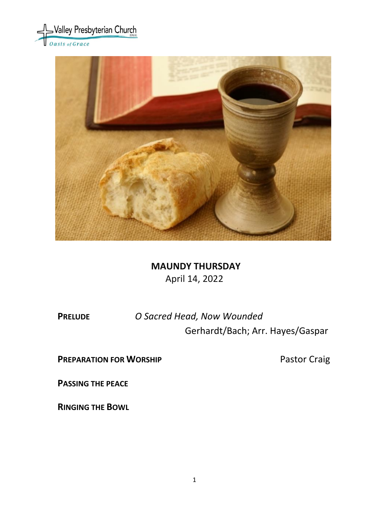



**MAUNDY THURSDAY** April 14, 2022

**PRELUDE** *O Sacred Head, Now Wounded* Gerhardt/Bach; Arr. Hayes/Gaspar

**PREPARATION FOR WORSHIP** Pastor Craig

**PASSING THE PEACE**

**RINGING THE BOWL**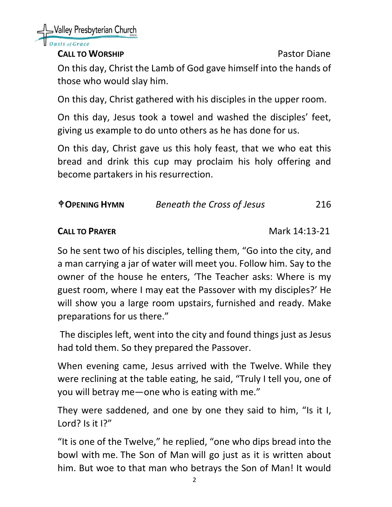

asis of Grace

### **CALL TO WORSHIP CALL TO WORSHIP**

On this day, Christ the Lamb of God gave himself into the hands of those who would slay him.

On this day, Christ gathered with his disciples in the upper room.

On this day, Jesus took a towel and washed the disciples' feet, giving us example to do unto others as he has done for us.

On this day, Christ gave us this holy feast, that we who eat this bread and drink this cup may proclaim his holy offering and become partakers in his resurrection.

| <b><i><u>OPENING HYMN</u></i></b> | Beneath the Cross of Jesus | 216 |
|-----------------------------------|----------------------------|-----|
|                                   |                            |     |

**CALL TO PRAYER CALL TO PRAYER Mark 14:13-21** 

So he sent two of his disciples, telling them, "Go into the city, and a man carrying a jar of water will meet you. Follow him. Say to the owner of the house he enters, 'The Teacher asks: Where is my guest room, where I may eat the Passover with my disciples?' He will show you a large room upstairs, furnished and ready. Make preparations for us there."

The disciples left, went into the city and found things just as Jesus had told them. So they prepared the Passover.

When evening came, Jesus arrived with the Twelve. While they were reclining at the table eating, he said, "Truly I tell you, one of you will betray me—one who is eating with me."

They were saddened, and one by one they said to him, "Is it I, Lord? Is it I?"

"It is one of the Twelve," he replied, "one who dips bread into the bowl with me. The Son of Man will go just as it is written about him. But woe to that man who betrays the Son of Man! It would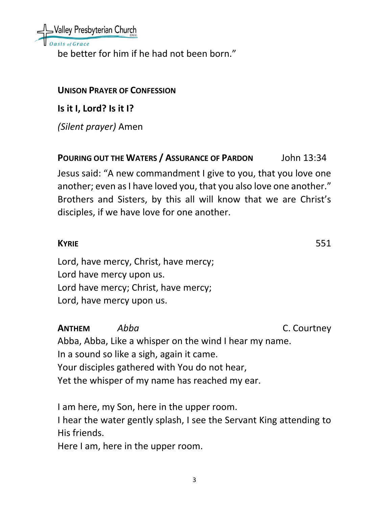

be better for him if he had not been born."

### **UNISON PRAYER OF CONFESSION**

**Is it I, Lord? Is it I?**

*(Silent prayer)* Amen

**POURING OUT THE WATERS / ASSURANCE OF PARDON** John 13:34 Jesus said: "A new commandment I give to you, that you love one another; even as I have loved you, that you also love one another." Brothers and Sisters, by this all will know that we are Christ's disciples, if we have love for one another.

### **KYRIE** 551

Lord, have mercy, Christ, have mercy; Lord have mercy upon us. Lord have mercy; Christ, have mercy; Lord, have mercy upon us.

**ANTHEM** *Abba* C. Courtney Abba, Abba, Like a whisper on the wind I hear my name. In a sound so like a sigh, again it came. Your disciples gathered with You do not hear, Yet the whisper of my name has reached my ear.

I am here, my Son, here in the upper room.

I hear the water gently splash, I see the Servant King attending to His friends.

Here I am, here in the upper room.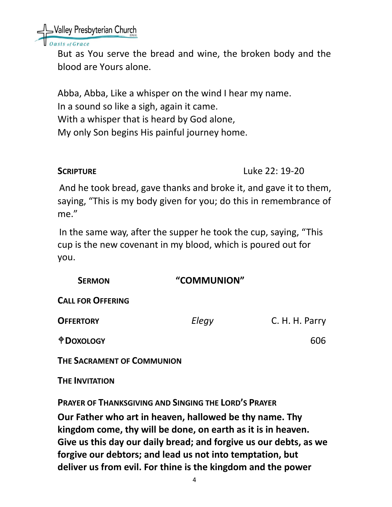Valley Presbyterian Church

isis of Grace

But as You serve the bread and wine, the broken body and the blood are Yours alone.

Abba, Abba, Like a whisper on the wind I hear my name. In a sound so like a sigh, again it came. With a whisper that is heard by God alone, My only Son begins His painful journey home.

**SCRIPTURE Luke 22: 19-20** 

And he took bread, gave thanks and broke it, and gave it to them, saying, "This is my body given for you; do this in remembrance of me."

In the same way, after the supper he took the cup, saying, "This cup is the new covenant in my blood, which is poured out for you.

| <b>SERMON</b>              | "COMMUNION" |                |
|----------------------------|-------------|----------------|
| <b>CALL FOR OFFERING</b>   |             |                |
| <b>OFFERTORY</b>           | Elegy       | C. H. H. Parry |
| $\bigoplus$ DOXOLOGY       |             | 606            |
| THE SACRAMENT OF COMMUNION |             |                |
| <b>THE INVITATION</b>      |             |                |

**PRAYER OF THANKSGIVING AND SINGING THE LORD'S PRAYER Our Father who art in heaven, hallowed be thy name. Thy kingdom come, thy will be done, on earth as it is in heaven. Give us this day our daily bread; and forgive us our debts, as we forgive our debtors; and lead us not into temptation, but deliver us from evil. For thine is the kingdom and the power**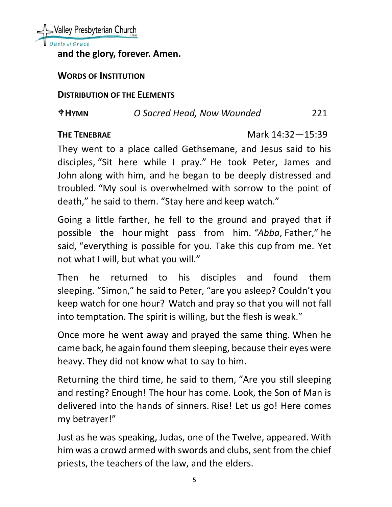

**and the glory, forever. Amen.**

### **WORDS OF INSTITUTION**

### **DISTRIBUTION OF THE ELEMENTS**

| $\biguplus$ HYMN | O Sacred Head, Now Wounded | 221 |
|------------------|----------------------------|-----|
|------------------|----------------------------|-----|

### **THE TENEBRAE** Mark 14:32—15:39

They went to a place called Gethsemane, and Jesus said to his disciples, "Sit here while I pray." He took Peter, James and John along with him, and he began to be deeply distressed and troubled. "My soul is overwhelmed with sorrow to the point of death," he said to them. "Stay here and keep watch."

Going a little farther, he fell to the ground and prayed that if possible the hour might pass from him. *"Abba*, Father," he said, "everything is possible for you. Take this cup from me. Yet not what I will, but what you will."

Then he returned to his disciples and found them sleeping. "Simon," he said to Peter, "are you asleep? Couldn't you keep watch for one hour? Watch and pray so that you will not fall into temptation. The spirit is willing, but the flesh is weak."

Once more he went away and prayed the same thing. When he came back, he again found them sleeping, because their eyes were heavy. They did not know what to say to him.

Returning the third time, he said to them, "Are you still sleeping and resting? Enough! The hour has come. Look, the Son of Man is delivered into the hands of sinners. Rise! Let us go! Here comes my betrayer!"

Just as he was speaking, Judas, one of the Twelve, appeared. With him was a crowd armed with swords and clubs, sent from the chief priests, the teachers of the law, and the elders.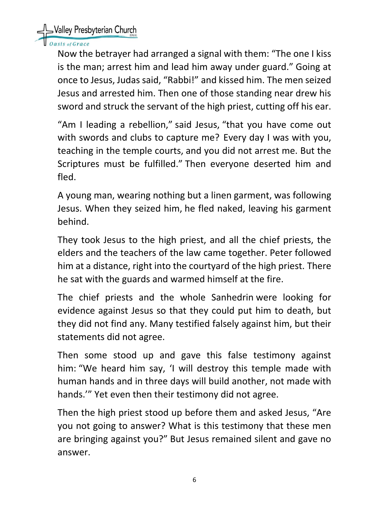SValley Presbyterian Church

asis of Grace

Now the betrayer had arranged a signal with them: "The one I kiss is the man; arrest him and lead him away under guard." Going at once to Jesus, Judas said, "Rabbi!" and kissed him. The men seized Jesus and arrested him. Then one of those standing near drew his sword and struck the servant of the high priest, cutting off his ear.

"Am I leading a rebellion," said Jesus, "that you have come out with swords and clubs to capture me? Every day I was with you, teaching in the temple courts, and you did not arrest me. But the Scriptures must be fulfilled." Then everyone deserted him and fled.

A young man, wearing nothing but a linen garment, was following Jesus. When they seized him, he fled naked, leaving his garment behind.

They took Jesus to the high priest, and all the chief priests, the elders and the teachers of the law came together. Peter followed him at a distance, right into the courtyard of the high priest. There he sat with the guards and warmed himself at the fire.

The chief priests and the whole Sanhedrin were looking for evidence against Jesus so that they could put him to death, but they did not find any. Many testified falsely against him, but their statements did not agree.

Then some stood up and gave this false testimony against him: "We heard him say, 'I will destroy this temple made with human hands and in three days will build another, not made with hands.'" Yet even then their testimony did not agree.

Then the high priest stood up before them and asked Jesus, "Are you not going to answer? What is this testimony that these men are bringing against you?" But Jesus remained silent and gave no answer.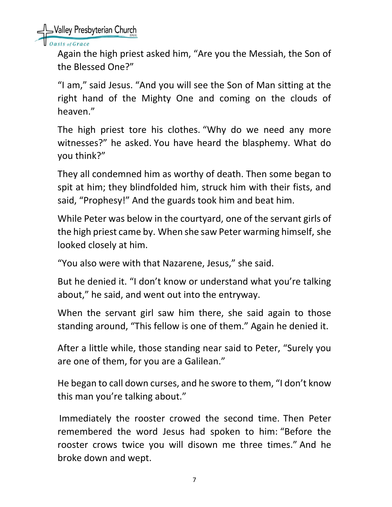Nalley Presbyterian Church

### isis of Grace

Again the high priest asked him, "Are you the Messiah, the Son of the Blessed One?"

"I am," said Jesus. "And you will see the Son of Man sitting at the right hand of the Mighty One and coming on the clouds of heaven."

The high priest tore his clothes. "Why do we need any more witnesses?" he asked. You have heard the blasphemy. What do you think?"

They all condemned him as worthy of death. Then some began to spit at him; they blindfolded him, struck him with their fists, and said, "Prophesy!" And the guards took him and beat him.

While Peter was below in the courtyard, one of the servant girls of the high priest came by. When she saw Peter warming himself, she looked closely at him.

"You also were with that Nazarene, Jesus," she said.

But he denied it. "I don't know or understand what you're talking about," he said, and went out into the entryway.

When the servant girl saw him there, she said again to those standing around, "This fellow is one of them." Again he denied it.

After a little while, those standing near said to Peter, "Surely you are one of them, for you are a Galilean."

He began to call down curses, and he swore to them, "I don't know this man you're talking about."

Immediately the rooster crowed the second time. Then Peter remembered the word Jesus had spoken to him: "Before the rooster crows twice you will disown me three times." And he broke down and wept.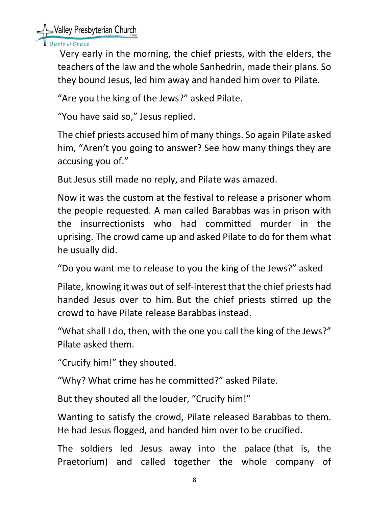# Valley Presbyterian Church

**Casis of Grace** 

Very early in the morning, the chief priests, with the elders, the teachers of the law and the whole Sanhedrin, made their plans. So they bound Jesus, led him away and handed him over to Pilate.

"Are you the king of the Jews?" asked Pilate.

"You have said so," Jesus replied.

The chief priests accused him of many things. So again Pilate asked him, "Aren't you going to answer? See how many things they are accusing you of."

But Jesus still made no reply, and Pilate was amazed.

Now it was the custom at the festival to release a prisoner whom the people requested. A man called Barabbas was in prison with the insurrectionists who had committed murder in the uprising. The crowd came up and asked Pilate to do for them what he usually did.

"Do you want me to release to you the king of the Jews?" asked

Pilate, knowing it was out of self-interest that the chief priests had handed Jesus over to him. But the chief priests stirred up the crowd to have Pilate release Barabbas instead.

"What shall I do, then, with the one you call the king of the Jews?" Pilate asked them.

"Crucify him!" they shouted.

"Why? What crime has he committed?" asked Pilate.

But they shouted all the louder, "Crucify him!"

Wanting to satisfy the crowd, Pilate released Barabbas to them. He had Jesus flogged, and handed him over to be crucified.

The soldiers led Jesus away into the palace (that is, the Praetorium) and called together the whole company of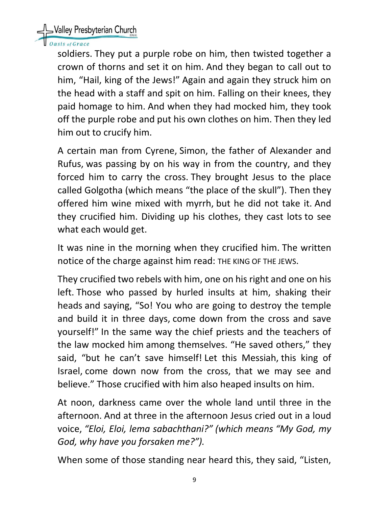Valley Presbyterian Church

### asis of Grace

soldiers. They put a purple robe on him, then twisted together a crown of thorns and set it on him. And they began to call out to him, "Hail, king of the Jews!" Again and again they struck him on the head with a staff and spit on him. Falling on their knees, they paid homage to him. And when they had mocked him, they took off the purple robe and put his own clothes on him. Then they led him out to crucify him.

A certain man from Cyrene, Simon, the father of Alexander and Rufus, was passing by on his way in from the country, and they forced him to carry the cross. They brought Jesus to the place called Golgotha (which means "the place of the skull"). Then they offered him wine mixed with myrrh, but he did not take it. And they crucified him. Dividing up his clothes, they cast lots to see what each would get.

It was nine in the morning when they crucified him. The written notice of the charge against him read: THE KING OF THE JEWS.

They crucified two rebels with him, one on his right and one on his left. Those who passed by hurled insults at him, shaking their heads and saying, "So! You who are going to destroy the temple and build it in three days, come down from the cross and save yourself!" In the same way the chief priests and the teachers of the law mocked him among themselves. "He saved others," they said, "but he can't save himself! Let this Messiah, this king of Israel, come down now from the cross, that we may see and believe." Those crucified with him also heaped insults on him.

At noon, darkness came over the whole land until three in the afternoon. And at three in the afternoon Jesus cried out in a loud voice, *"Eloi, Eloi, lema sabachthani?" (which means "My God, my God, why have you forsaken me?").*

When some of those standing near heard this, they said, "Listen,